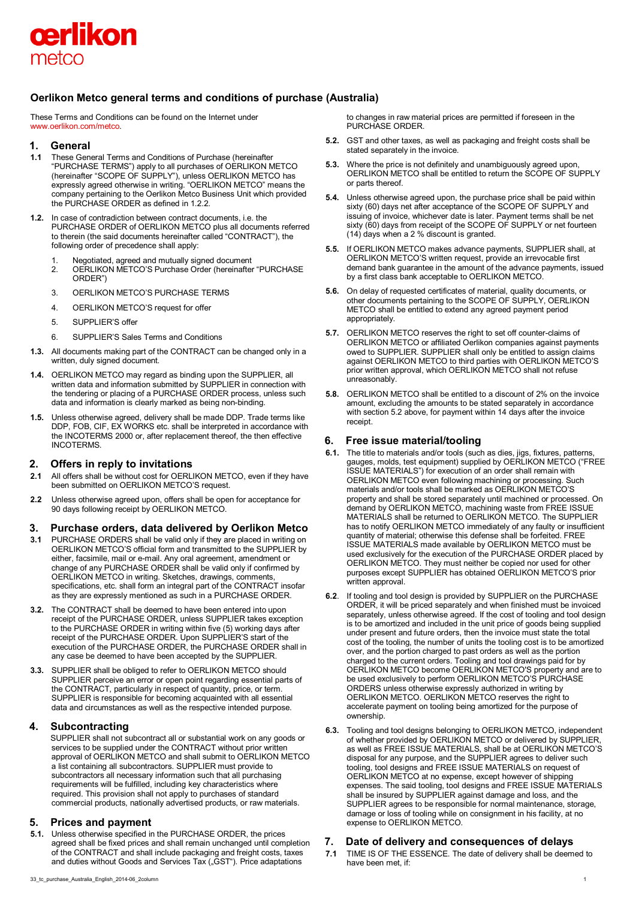

## **Oerlikon Metco general terms and conditions of purchase (Australia)**

These Terms and Conditions can be found on the Internet under [www.oerlikon.com/metco.](http://www.oerlikon.com/metco)

### **1. General**

- **1.1** These General Terms and Conditions of Purchase (hereinafter "PURCHASE TERMS") apply to all purchases of OERLIKON METCO (hereinafter "SCOPE OF SUPPLY"), unless OERLIKON METCO has expressly agreed otherwise in writing. "OERLIKON METCO" means the company pertaining to the Oerlikon Metco Business Unit which provided the PURCHASE ORDER as defined in 1.2.2.
- **1.2.** In case of contradiction between contract documents, i.e. the PURCHASE ORDER of OERLIKON METCO plus all documents referred to therein (the said documents hereinafter called "CONTRACT"), the following order of precedence shall apply:
	- 1. Negotiated, agreed and mutually signed document<br>2. OERLIKON METCO'S Purchase Order (hereinafter 2. OERLIKON METCO'S Purchase Order (hereinafter "PURCHASE ORDER")
	- 3. OERLIKON METCO'S PURCHASE TERMS
	- 4. OERLIKON METCO'S request for offer
	- 5. SUPPLIER'S offer
	- 6. SUPPLIER'S Sales Terms and Conditions
- **1.3.** All documents making part of the CONTRACT can be changed only in a written, duly signed document.
- **1.4.** OERLIKON METCO may regard as binding upon the SUPPLIER, all written data and information submitted by SUPPLIER in connection with the tendering or placing of a PURCHASE ORDER process, unless such data and information is clearly marked as being non-binding.
- **1.5.** Unless otherwise agreed, delivery shall be made DDP. Trade terms like DDP, FOB, CIF, EX WORKS etc. shall be interpreted in accordance with the INCOTERMS 2000 or, after replacement thereof, the then effective INCOTERMS.

## **2. Offers in reply to invitations**

- **2.1** All offers shall be without cost for OERLIKON METCO, even if they have been submitted on OERLIKON METCO'S request.
- **2.2** Unless otherwise agreed upon, offers shall be open for acceptance for 90 days following receipt by OERLIKON METCO.

# **3. Purchase orders, data delivered by Oerlikon Metco**<br>**3.1** PURCHASE ORDERS shall be valid only if they are placed in writing on

- **3.1** PURCHASE ORDERS shall be valid only if they are placed in writing on OERLIKON METCO'S official form and transmitted to the SUPPLIER by either, facsimile, mail or e-mail. Any oral agreement, amendment or change of any PURCHASE ORDER shall be valid only if confirmed by OERLIKON METCO in writing. Sketches, drawings, comments, specifications, etc. shall form an integral part of the CONTRACT insofar as they are expressly mentioned as such in a PURCHASE ORDER.
- **3.2.** The CONTRACT shall be deemed to have been entered into upon receipt of the PURCHASE ORDER, unless SUPPLIER takes exception to the PURCHASE ORDER in writing within five (5) working days after receipt of the PURCHASE ORDER. Upon SUPPLIER'S start of the execution of the PURCHASE ORDER, the PURCHASE ORDER shall in any case be deemed to have been accepted by the SUPPLIER.
- **3.3.** SUPPLIER shall be obliged to refer to OERLIKON METCO should SUPPLIER perceive an error or open point regarding essential parts of the CONTRACT, particularly in respect of quantity, price, or term. SUPPLIER is responsible for becoming acquainted with all essential data and circumstances as well as the respective intended purpose.

## **4. Subcontracting**

SUPPLIER shall not subcontract all or substantial work on any goods or services to be supplied under the CONTRACT without prior written approval of OERLIKON METCO and shall submit to OERLIKON METCO a list containing all subcontractors. SUPPLIER must provide to subcontractors all necessary information such that all purchasing requirements will be fulfilled, including key characteristics where required. This provision shall not apply to purchases of standard commercial products, nationally advertised products, or raw materials.

#### **5. Prices and payment**

**5.1.** Unless otherwise specified in the PURCHASE ORDER, the prices agreed shall be fixed prices and shall remain unchanged until completion of the CONTRACT and shall include packaging and freight costs, taxes and duties without Goods and Services Tax ("GST"). Price adaptations

to changes in raw material prices are permitted if foreseen in the PURCHASE ORDER.

- **5.2.** GST and other taxes, as well as packaging and freight costs shall be stated separately in the invoice.
- **5.3.** Where the price is not definitely and unambiguously agreed upon, OERLIKON METCO shall be entitled to return the SCOPE OF SUPPLY or parts thereof.
- **5.4.** Unless otherwise agreed upon, the purchase price shall be paid within sixty (60) days net after acceptance of the SCOPE OF SUPPLY and issuing of invoice, whichever date is later. Payment terms shall be net sixty (60) days from receipt of the SCOPE OF SUPPLY or net fourteen (14) days when a 2 % discount is granted.
- **5.5.** If OERLIKON METCO makes advance payments, SUPPLIER shall, at OERLIKON METCO'S written request, provide an irrevocable first demand bank guarantee in the amount of the advance payments, issued by a first class bank acceptable to OERLIKON METCO.
- **5.6.** On delay of requested certificates of material, quality documents, or other documents pertaining to the SCOPE OF SUPPLY, OERLIKON METCO shall be entitled to extend any agreed payment period appropriately.
- **5.7.** OERLIKON METCO reserves the right to set off counter-claims of OERLIKON METCO or affiliated Oerlikon companies against payments owed to SUPPLIER. SUPPLIER shall only be entitled to assign claims against OERLIKON METCO to third parties with OERLIKON METCO'S prior written approval, which OERLIKON METCO shall not refuse unreasonably.
- **5.8.** OERLIKON METCO shall be entitled to a discount of 2% on the invoice amount, excluding the amounts to be stated separately in accordance with section 5.2 above, for payment within 14 days after the invoice receipt.

#### **6. Free issue material/tooling**

- **6.1.** The title to materials and/or tools (such as dies, jigs, fixtures, patterns, gauges, molds, test equipment) supplied by OERLIKON METCO ("FREE ISSUE MATERIALS") for execution of an order shall remain with OERLIKON METCO even following machining or processing. Such materials and/or tools shall be marked as OERLIKON METCO'S property and shall be stored separately until machined or processed. On demand by OERLIKON METCO, machining waste from FREE ISSUE MATERIALS shall be returned to OERLIKON METCO. The SUPPLIER has to notify OERLIKON METCO immediately of any faulty or insufficient quantity of material; otherwise this defense shall be forfeited. FREE ISSUE MATERIALS made available by OERLIKON METCO must be used exclusively for the execution of the PURCHASE ORDER placed by OERLIKON METCO. They must neither be copied nor used for other purposes except SUPPLIER has obtained OERLIKON METCO'S prior written approval.
- **6.2**. If tooling and tool design is provided by SUPPLIER on the PURCHASE ORDER, it will be priced separately and when finished must be invoiced separately, unless otherwise agreed. If the cost of tooling and tool design is to be amortized and included in the unit price of goods being supplied under present and future orders, then the invoice must state the total cost of the tooling, the number of units the tooling cost is to be amortized over, and the portion charged to past orders as well as the portion charged to the current orders. Tooling and tool drawings paid for by OERLIKON METCO become OERLIKON METCO'S property and are to be used exclusively to perform OERLIKON METCO'S PURCHASE ORDERS unless otherwise expressly authorized in writing by OERLIKON METCO. OERLIKON METCO reserves the right to accelerate payment on tooling being amortized for the purpose of ownership.
- **6.3.** Tooling and tool designs belonging to OERLIKON METCO, independent of whether provided by OERLIKON METCO or delivered by SUPPLIER, as well as FREE ISSUE MATERIALS, shall be at OERLIKON METCO'S disposal for any purpose, and the SUPPLIER agrees to deliver such tooling, tool designs and FREE ISSUE MATERIALS on request of OERLIKON METCO at no expense, except however of shipping expenses. The said tooling, tool designs and FREE ISSUE MATERIALS shall be insured by SUPPLIER against damage and loss, and the SUPPLIER agrees to be responsible for normal maintenance, storage, damage or loss of tooling while on consignment in his facility, at no expense to OERLIKON METCO.

#### **7. Date of delivery and consequences of delays**

**7.1** TIME IS OF THE ESSENCE. The date of delivery shall be deemed to have been met, if: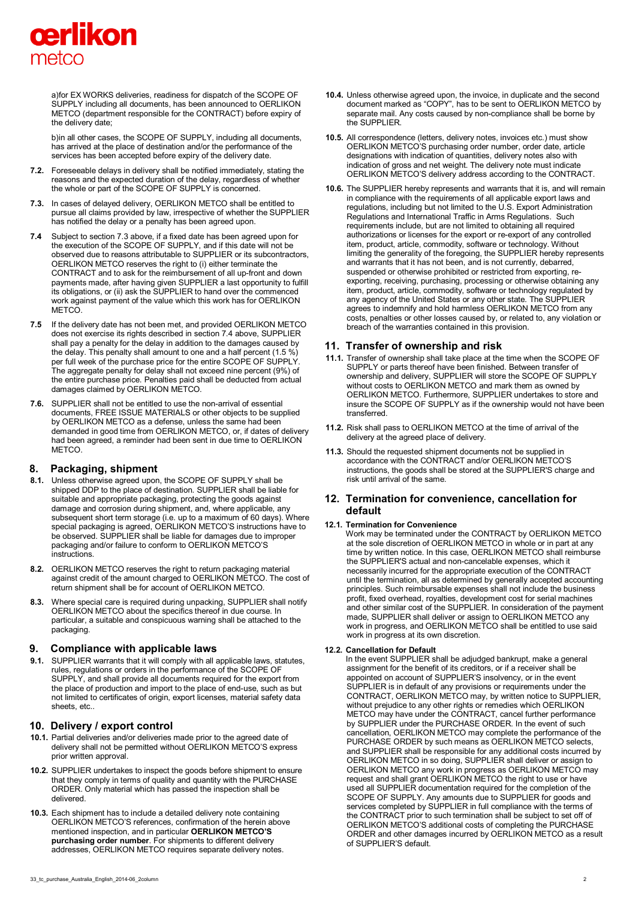

a)for EX WORKS deliveries, readiness for dispatch of the SCOPE OF SUPPLY including all documents, has been announced to OERLIKON METCO (department responsible for the CONTRACT) before expiry of the delivery date;

b)in all other cases, the SCOPE OF SUPPLY, including all documents, has arrived at the place of destination and/or the performance of the services has been accepted before expiry of the delivery date.

- **7.2.** Foreseeable delays in delivery shall be notified immediately, stating the reasons and the expected duration of the delay, regardless of whether the whole or part of the SCOPE OF SUPPLY is concerned.
- **7.3.** In cases of delayed delivery, OERLIKON METCO shall be entitled to pursue all claims provided by law, irrespective of whether the SUPPLIER has notified the delay or a penalty has been agreed upon.
- **7.4** Subject to section 7.3 above, if a fixed date has been agreed upon for the execution of the SCOPE OF SUPPLY, and if this date will not be observed due to reasons attributable to SUPPLIER or its subcontractors, OERLIKON METCO reserves the right to (i) either terminate the CONTRACT and to ask for the reimbursement of all up-front and down payments made, after having given SUPPLIER a last opportunity to fulfill its obligations, or (ii) ask the SUPPLIER to hand over the commenced work against payment of the value which this work has for OERLIKON METCO.
- **7.5** If the delivery date has not been met, and provided OERLIKON METCO does not exercise its rights described in section 7.4 above, SUPPLIER shall pay a penalty for the delay in addition to the damages caused by the delay. This penalty shall amount to one and a half percent (1.5 %) per full week of the purchase price for the entire SCOPE OF SUPPLY. The aggregate penalty for delay shall not exceed nine percent (9%) of the entire purchase price. Penalties paid shall be deducted from actual damages claimed by OERLIKON METCO.
- **7.6.** SUPPLIER shall not be entitled to use the non-arrival of essential documents, FREE ISSUE MATERIALS or other objects to be supplied by OERLIKON METCO as a defense, unless the same had been demanded in good time from OERLIKON METCO, or, if dates of delivery had been agreed, a reminder had been sent in due time to OERLIKON METCO.

## **8. Packaging, shipment**

- **8.1.** Unless otherwise agreed upon, the SCOPE OF SUPPLY shall be shipped DDP to the place of destination. SUPPLIER shall be liable for suitable and appropriate packaging, protecting the goods against damage and corrosion during shipment, and, where applicable, any subsequent short term storage (i.e. up to a maximum of 60 days). Where special packaging is agreed, OERLIKON METCO'S instructions have to be observed. SUPPLIER shall be liable for damages due to improper packaging and/or failure to conform to OERLIKON METCO'S instructions.
- **8.2.** OERLIKON METCO reserves the right to return packaging material against credit of the amount charged to OERLIKON METCO. The cost of return shipment shall be for account of OERLIKON METCO.
- **8.3.** Where special care is required during unpacking, SUPPLIER shall notify OERLIKON METCO about the specifics thereof in due course. In particular, a suitable and conspicuous warning shall be attached to the packaging.

## **9. Compliance with applicable laws**

**9.1.** SUPPLIER warrants that it will comply with all applicable laws, statutes, rules, regulations or orders in the performance of the SCOPE OF SUPPLY, and shall provide all documents required for the export from the place of production and import to the place of end-use, such as but not limited to certificates of origin, export licenses, material safety data sheets, etc..

## **10. Delivery / export control**

- **10.1.** Partial deliveries and/or deliveries made prior to the agreed date of delivery shall not be permitted without OERLIKON METCO'S express prior written approval.
- **10.2.** SUPPLIER undertakes to inspect the goods before shipment to ensure that they comply in terms of quality and quantity with the PURCHASE ORDER. Only material which has passed the inspection shall be delivered.
- **10.3.** Each shipment has to include a detailed delivery note containing OERLIKON METCO'S references, confirmation of the herein above mentioned inspection, and in particular **OERLIKON METCO'S purchasing order number**. For shipments to different delivery addresses, OERLIKON METCO requires separate delivery notes.
- **10.4.** Unless otherwise agreed upon, the invoice, in duplicate and the second document marked as "COPY", has to be sent to OERLIKON METCO by separate mail. Any costs caused by non-compliance shall be borne by the SUPPLIER.
- **10.5.** All correspondence (letters, delivery notes, invoices etc.) must show OERLIKON METCO'S purchasing order number, order date, article designations with indication of quantities, delivery notes also with indication of gross and net weight. The delivery note must indicate OERLIKON METCO'S delivery address according to the CONTRACT.
- **10.6.** The SUPPLIER hereby represents and warrants that it is, and will remain in compliance with the requirements of all applicable export laws and regulations, including but not limited to the U.S. Export Administration Regulations and International Traffic in Arms Regulations. Such requirements include, but are not limited to obtaining all required authorizations or licenses for the export or re-export of any controlled item, product, article, commodity, software or technology. Without limiting the generality of the foregoing, the SUPPLIER hereby represents and warrants that it has not been, and is not currently, debarred, suspended or otherwise prohibited or restricted from exporting, reexporting, receiving, purchasing, processing or otherwise obtaining any item, product, article, commodity, software or technology regulated by any agency of the United States or any other state. The SUPPLIER agrees to indemnify and hold harmless OERLIKON METCO from any costs, penalties or other losses caused by, or related to, any violation or breach of the warranties contained in this provision.

## **11. Transfer of ownership and risk**

- **11.1.** Transfer of ownership shall take place at the time when the SCOPE OF SUPPLY or parts thereof have been finished. Between transfer of ownership and delivery, SUPPLIER will store the SCOPE OF SUPPLY without costs to OERLIKON METCO and mark them as owned by OERLIKON METCO. Furthermore, SUPPLIER undertakes to store and insure the SCOPE OF SUPPLY as if the ownership would not have been transferred.
- **11.2.** Risk shall pass to OERLIKON METCO at the time of arrival of the delivery at the agreed place of delivery.
- **11.3.** Should the requested shipment documents not be supplied in accordance with the CONTRACT and/or OERLIKON METCO'S instructions, the goods shall be stored at the SUPPLIER'S charge and risk until arrival of the same.

## **12. Termination for convenience, cancellation for default**

#### **12.1. Termination for Convenience**

Work may be terminated under the CONTRACT by OERLIKON METCO at the sole discretion of OERLIKON METCO in whole or in part at any time by written notice. In this case, OERLIKON METCO shall reimburse the SUPPLIER'S actual and non-cancelable expenses, which it necessarily incurred for the appropriate execution of the CONTRACT until the termination, all as determined by generally accepted accounting principles. Such reimbursable expenses shall not include the business profit, fixed overhead, royalties, development cost for serial machines and other similar cost of the SUPPLIER. In consideration of the payment made, SUPPLIER shall deliver or assign to OERLIKON METCO any work in progress, and OERLIKON METCO shall be entitled to use said work in progress at its own discretion.

#### **12.2. Cancellation for Default**

In the event SUPPLIER shall be adjudged bankrupt, make a general assignment for the benefit of its creditors, or if a receiver shall be appointed on account of SUPPLIER'S insolvency, or in the event SUPPLIER is in default of any provisions or requirements under the CONTRACT, OERLIKON METCO may, by written notice to SUPPLIER, without prejudice to any other rights or remedies which OERLIKON METCO may have under the CONTRACT, cancel further performance by SUPPLIER under the PURCHASE ORDER. In the event of such cancellation, OERLIKON METCO may complete the performance of the PURCHASE ORDER by such means as OERLIKON METCO selects and SUPPLIER shall be responsible for any additional costs incurred by OERLIKON METCO in so doing, SUPPLIER shall deliver or assign to OERLIKON METCO any work in progress as OERLIKON METCO may request and shall grant OERLIKON METCO the right to use or have used all SUPPLIER documentation required for the completion of the SCOPE OF SUPPLY. Any amounts due to SUPPLIER for goods and services completed by SUPPLIER in full compliance with the terms of the CONTRACT prior to such termination shall be subject to set off of OERLIKON METCO'S additional costs of completing the PURCHASE ORDER and other damages incurred by OERLIKON METCO as a result of SUPPLIER'S default.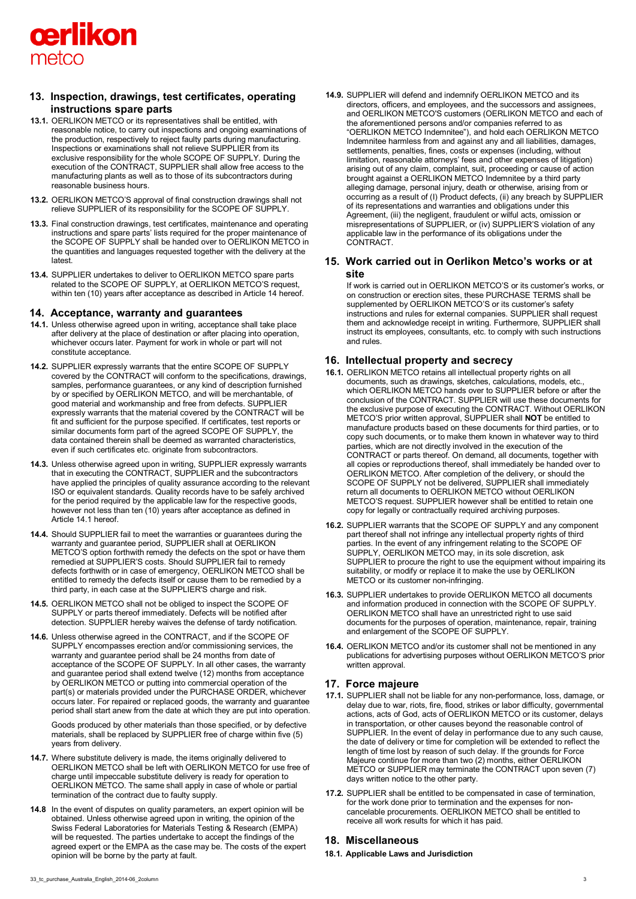

## **13. Inspection, drawings, test certificates, operating instructions spare parts**

- **13.1.** OERLIKON METCO or its representatives shall be entitled, with reasonable notice, to carry out inspections and ongoing examinations of the production, respectively to reject faulty parts during manufacturing. Inspections or examinations shall not relieve SUPPLIER from its exclusive responsibility for the whole SCOPE OF SUPPLY. During the execution of the CONTRACT, SUPPLIER shall allow free access to the manufacturing plants as well as to those of its subcontractors during reasonable business hours.
- **13.2.** OERLIKON METCO'S approval of final construction drawings shall not relieve SUPPLIER of its responsibility for the SCOPE OF SUPPLY.
- **13.3.** Final construction drawings, test certificates, maintenance and operating instructions and spare parts' lists required for the proper maintenance of the SCOPE OF SUPPLY shall be handed over to OERLIKON METCO in the quantities and languages requested together with the delivery at the latest.
- **13.4.** SUPPLIER undertakes to deliver to OERLIKON METCO spare parts related to the SCOPE OF SUPPLY, at OERLIKON METCO'S request, within ten (10) years after acceptance as described in Article 14 hereof.

#### **14. Acceptance, warranty and guarantees**

- **14.1.** Unless otherwise agreed upon in writing, acceptance shall take place after delivery at the place of destination or after placing into operation, whichever occurs later. Payment for work in whole or part will not constitute acceptance.
- **14.2.** SUPPLIER expressly warrants that the entire SCOPE OF SUPPLY covered by the CONTRACT will conform to the specifications, drawings, samples, performance guarantees, or any kind of description furnished by or specified by OERLIKON METCO, and will be merchantable, of good material and workmanship and free from defects. SUPPLIER expressly warrants that the material covered by the CONTRACT will be fit and sufficient for the purpose specified. If certificates, test reports or similar documents form part of the agreed SCOPE OF SUPPLY, the data contained therein shall be deemed as warranted characteristics, even if such certificates etc. originate from subcontractors.
- **14.3.** Unless otherwise agreed upon in writing, SUPPLIER expressly warrants that in executing the CONTRACT, SUPPLIER and the subcontractors have applied the principles of quality assurance according to the relevant ISO or equivalent standards. Quality records have to be safely archived for the period required by the applicable law for the respective goods, however not less than ten (10) years after acceptance as defined in Article 14.1 hereof.
- **14.4.** Should SUPPLIER fail to meet the warranties or guarantees during the warranty and guarantee period, SUPPLIER shall at OERLIKON METCO'S option forthwith remedy the defects on the spot or have them remedied at SUPPLIER'S costs. Should SUPPLIER fail to remedy defects forthwith or in case of emergency, OERLIKON METCO shall be entitled to remedy the defects itself or cause them to be remedied by a third party, in each case at the SUPPLIER'S charge and risk.
- **14.5.** OERLIKON METCO shall not be obliged to inspect the SCOPE OF SUPPLY or parts thereof immediately. Defects will be notified after detection. SUPPLIER hereby waives the defense of tardy notification.
- **14.6.** Unless otherwise agreed in the CONTRACT, and if the SCOPE OF SUPPLY encompasses erection and/or commissioning services, the warranty and guarantee period shall be 24 months from date of acceptance of the SCOPE OF SUPPLY. In all other cases, the warranty and guarantee period shall extend twelve (12) months from acceptance by OERLIKON METCO or putting into commercial operation of the part(s) or materials provided under the PURCHASE ORDER, whichever occurs later. For repaired or replaced goods, the warranty and guarantee period shall start anew from the date at which they are put into operation.

Goods produced by other materials than those specified, or by defective materials, shall be replaced by SUPPLIER free of charge within five (5) years from delivery.

- **14.7.** Where substitute delivery is made, the items originally delivered to OERLIKON METCO shall be left with OERLIKON METCO for use free of charge until impeccable substitute delivery is ready for operation to OERLIKON METCO. The same shall apply in case of whole or partial termination of the contract due to faulty supply.
- **14.8** In the event of disputes on quality parameters, an expert opinion will be obtained. Unless otherwise agreed upon in writing, the opinion of the Swiss Federal Laboratories for Materials Testing & Research (EMPA) will be requested. The parties undertake to accept the findings of the agreed expert or the EMPA as the case may be. The costs of the expert opinion will be borne by the party at fault.

**14.9.** SUPPLIER will defend and indemnify OERLIKON METCO and its directors, officers, and employees, and the successors and assignees, and OERLIKON METCO'S customers (OERLIKON METCO and each of the aforementioned persons and/or companies referred to as "OERLIKON METCO Indemnitee"), and hold each OERLIKON METCO Indemnitee harmless from and against any and all liabilities, damages, settlements, penalties, fines, costs or expenses (including, without limitation, reasonable attorneys' fees and other expenses of litigation) arising out of any claim, complaint, suit, proceeding or cause of action brought against a OERLIKON METCO Indemnitee by a third party alleging damage, personal injury, death or otherwise, arising from or occurring as a result of (I) Product defects, (ii) any breach by SUPPLIER of its representations and warranties and obligations under this Agreement, (iii) the negligent, fraudulent or wilful acts, omission or misrepresentations of SUPPLIER, or (iv) SUPPLIER'S violation of any applicable law in the performance of its obligations under the CONTRACT.

## **15. Work carried out in Oerlikon Metco's works or at site**

If work is carried out in OERLIKON METCO'S or its customer's works, or on construction or erection sites, these PURCHASE TERMS shall be supplemented by OERLIKON METCO'S or its customer's safety instructions and rules for external companies. SUPPLIER shall request them and acknowledge receipt in writing. Furthermore, SUPPLIER shall instruct its employees, consultants, etc. to comply with such instructions and rules.

## **16. Intellectual property and secrecy**

- **16.1.** OERLIKON METCO retains all intellectual property rights on all documents, such as drawings, sketches, calculations, models, etc., which OERLIKON METCO hands over to SUPPLIER before or after the conclusion of the CONTRACT. SUPPLIER will use these documents for the exclusive purpose of executing the CONTRACT. Without OERLIKON METCO'S prior written approval, SUPPLIER shall **NOT** be entitled to manufacture products based on these documents for third parties, or to copy such documents, or to make them known in whatever way to third parties, which are not directly involved in the execution of the CONTRACT or parts thereof. On demand, all documents, together with all copies or reproductions thereof, shall immediately be handed over to OERLIKON METCO. After completion of the delivery, or should the SCOPE OF SUPPLY not be delivered, SUPPLIER shall immediately return all documents to OERLIKON METCO without OERLIKON METCO'S request. SUPPLIER however shall be entitled to retain one copy for legally or contractually required archiving purposes.
- **16.2.** SUPPLIER warrants that the SCOPE OF SUPPLY and any component part thereof shall not infringe any intellectual property rights of third parties. In the event of any infringement relating to the SCOPE OF SUPPLY, OERLIKON METCO may, in its sole discretion, ask SUPPLIER to procure the right to use the equipment without impairing its suitability, or modify or replace it to make the use by OERLIKON METCO or its customer non-infringing.
- **16.3.** SUPPLIER undertakes to provide OERLIKON METCO all documents and information produced in connection with the SCOPE OF SUPPLY. OERLIKON METCO shall have an unrestricted right to use said documents for the purposes of operation, maintenance, repair, training and enlargement of the SCOPE OF SUPPLY.
- **16.4.** OERLIKON METCO and/or its customer shall not be mentioned in any publications for advertising purposes without OERLIKON METCO'S prior written approval.

## **17. Force majeure**

- **17.1.** SUPPLIER shall not be liable for any non-performance, loss, damage, or delay due to war, riots, fire, flood, strikes or labor difficulty, governmental actions, acts of God, acts of OERLIKON METCO or its customer, delays in transportation, or other causes beyond the reasonable control of SUPPLIER. In the event of delay in performance due to any such cause, the date of delivery or time for completion will be extended to reflect the length of time lost by reason of such delay. If the grounds for Force Majeure continue for more than two (2) months, either OERLIKON METCO or SUPPLIER may terminate the CONTRACT upon seven (7) days written notice to the other party.
- **17.2.** SUPPLIER shall be entitled to be compensated in case of termination, for the work done prior to termination and the expenses for noncancelable procurements. OERLIKON METCO shall be entitled to receive all work results for which it has paid.

## **18. Miscellaneous**

**18.1. Applicable Laws and Jurisdiction**